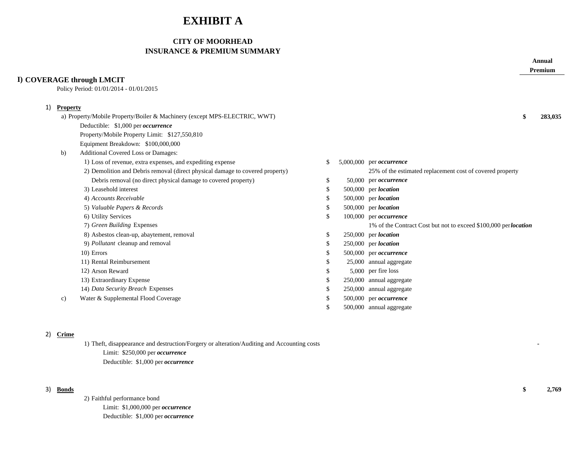# **EXHIBIT A**

# **CITY OF MOORHEAD INSURANCE & PREMIUM SUMMARY**

|    |                 |                                                                               |               |                                                                 | Annual<br>Premium |
|----|-----------------|-------------------------------------------------------------------------------|---------------|-----------------------------------------------------------------|-------------------|
|    |                 | I) COVERAGE through LMCIT<br>Policy Period: 01/01/2014 - 01/01/2015           |               |                                                                 |                   |
| 1) | <b>Property</b> |                                                                               |               |                                                                 |                   |
|    |                 | a) Property/Mobile Property/Boiler & Machinery (except MPS-ELECTRIC, WWT)     |               |                                                                 | 283,035           |
|    |                 | Deductible: \$1,000 per occurrence                                            |               |                                                                 |                   |
|    |                 | Property/Mobile Property Limit: \$127,550,810                                 |               |                                                                 |                   |
|    |                 | Equipment Breakdown: \$100,000,000                                            |               |                                                                 |                   |
|    | b)              | Additional Covered Loss or Damages:                                           |               |                                                                 |                   |
|    |                 | 1) Loss of revenue, extra expenses, and expediting expense                    | <sup>\$</sup> | $5,000,000$ per <i>occurrence</i>                               |                   |
|    |                 | 2) Demolition and Debris removal (direct physical damage to covered property) |               | 25% of the estimated replacement cost of covered property       |                   |
|    |                 | Debris removal (no direct physical damage to covered property)                | \$            | 50,000 per <i>occurrence</i>                                    |                   |
|    |                 | 3) Leasehold interest                                                         | £.            | 500,000 per location                                            |                   |
|    |                 | 4) Accounts Receivable                                                        |               | 500,000 per location                                            |                   |
|    |                 | 5) Valuable Papers & Records                                                  | -S            | $500,000$ per <i>location</i>                                   |                   |
|    |                 | 6) Utility Services                                                           | -S            | 100,000 per occurrence                                          |                   |
|    |                 | 7) Green Building Expenses                                                    |               | 1% of the Contract Cost but not to exceed \$100,000 perlocation |                   |
|    |                 | 8) Asbestos clean-up, abaytement, removal                                     | \$            | $250,000$ per <i>location</i>                                   |                   |
|    |                 | 9) Pollutant cleanup and removal                                              | S.            | 250,000 per location                                            |                   |
|    |                 | 10) Errors                                                                    | S.            | 500,000 per occurrence                                          |                   |
|    |                 | 11) Rental Reimbursement                                                      | S.            | 25,000 annual aggregate                                         |                   |
|    |                 | 12) Arson Reward                                                              |               | 5,000 per fire loss                                             |                   |
|    |                 | 13) Extraordinary Expense                                                     |               | 250,000 annual aggregate                                        |                   |
|    |                 | 14) Data Security Breach Expenses                                             |               | 250,000 annual aggregate                                        |                   |
|    | c)              | Water & Supplemental Flood Coverage                                           |               | 500,000 per occurrence                                          |                   |
|    |                 |                                                                               | S.            | 500,000 annual aggregate                                        |                   |
|    |                 |                                                                               |               |                                                                 |                   |

# 2) **Crime**

1) Theft, disappearance and destruction/Forgery or alteration/Auditing and Accounting costs **-** Limit: \$250,000 per *occurrence* Deductible: \$1,000 per *occurrence*

2) Faithful performance bond Limit: \$1,000,000 per *occurrence* Deductible: \$1,000 per *occurrence*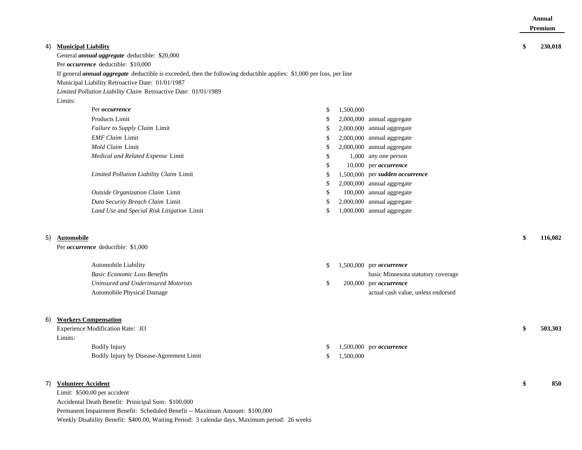| <b>Municipal Liability</b><br>230,018<br>4)<br>S<br>General annual aggregate deductible: \$20,000<br>Per <i>occurrence</i> deductible: \$10,000<br>If general <i>annual aggregate</i> deductible is exceeded, then the following deductible applies: \$1,000 per loss, per line<br>Municipal Liability Retroactive Date: 01/01/1987<br>Limited Pollution Liability Claim Retroactive Date: 01/01/1989<br>Limits:<br>Per occurrence<br>1,500,000<br>\$<br>Products Limit<br>2,000,000 annual aggregate<br>\$.<br>Failure to Supply Claim Limit<br>2,000,000 annual aggregate<br>\$.<br><b>EMF</b> Claim Limit<br>2,000,000 annual aggregate<br>\$.<br>Mold Claim Limit<br>2,000,000 annual aggregate<br>S<br>Medical and Related Expense Limit<br>1,000 any one person<br>S<br>10,000 per occurrence<br>\$.<br>Limited Pollution Liability Claim Limit<br>1,500,000 per sudden occurrence<br>\$.<br>2,000,000 annual aggregate<br>\$.<br>Outside Organization Claim Limit<br>100,000 annual aggregate<br>S<br>Data Security Breach Claim Limit<br>2,000,000 annual aggregate<br>\$.<br>Land Use and Special Risk Litigation Limit<br>1,000,000 annual aggregate<br>\$<br>5)<br>Automobile<br>116,082<br>Per <i>occurrence</i> deductible: \$1,000<br>Automobile Liability<br>\$<br>$1,500,000$ per <i>occurrence</i><br><b>Basic Economic Loss Benefits</b><br>basic Minnesota statutory coverage<br>Uninsured and Underinsured Motorists<br>\$<br>200,000 per occurrence<br>Automobile Physical Damage<br>actual cash value, unless endorsed<br><b>Workers Compensation</b><br>6)<br>Experience Modification Rate: .83<br>503,303<br>Limits: |  |  |  | Annual<br><b>Premium</b> |
|----------------------------------------------------------------------------------------------------------------------------------------------------------------------------------------------------------------------------------------------------------------------------------------------------------------------------------------------------------------------------------------------------------------------------------------------------------------------------------------------------------------------------------------------------------------------------------------------------------------------------------------------------------------------------------------------------------------------------------------------------------------------------------------------------------------------------------------------------------------------------------------------------------------------------------------------------------------------------------------------------------------------------------------------------------------------------------------------------------------------------------------------------------------------------------------------------------------------------------------------------------------------------------------------------------------------------------------------------------------------------------------------------------------------------------------------------------------------------------------------------------------------------------------------------------------------------------------------------------------------------------------------|--|--|--|--------------------------|
|                                                                                                                                                                                                                                                                                                                                                                                                                                                                                                                                                                                                                                                                                                                                                                                                                                                                                                                                                                                                                                                                                                                                                                                                                                                                                                                                                                                                                                                                                                                                                                                                                                              |  |  |  |                          |
|                                                                                                                                                                                                                                                                                                                                                                                                                                                                                                                                                                                                                                                                                                                                                                                                                                                                                                                                                                                                                                                                                                                                                                                                                                                                                                                                                                                                                                                                                                                                                                                                                                              |  |  |  |                          |
|                                                                                                                                                                                                                                                                                                                                                                                                                                                                                                                                                                                                                                                                                                                                                                                                                                                                                                                                                                                                                                                                                                                                                                                                                                                                                                                                                                                                                                                                                                                                                                                                                                              |  |  |  |                          |
|                                                                                                                                                                                                                                                                                                                                                                                                                                                                                                                                                                                                                                                                                                                                                                                                                                                                                                                                                                                                                                                                                                                                                                                                                                                                                                                                                                                                                                                                                                                                                                                                                                              |  |  |  |                          |
|                                                                                                                                                                                                                                                                                                                                                                                                                                                                                                                                                                                                                                                                                                                                                                                                                                                                                                                                                                                                                                                                                                                                                                                                                                                                                                                                                                                                                                                                                                                                                                                                                                              |  |  |  |                          |
|                                                                                                                                                                                                                                                                                                                                                                                                                                                                                                                                                                                                                                                                                                                                                                                                                                                                                                                                                                                                                                                                                                                                                                                                                                                                                                                                                                                                                                                                                                                                                                                                                                              |  |  |  |                          |
|                                                                                                                                                                                                                                                                                                                                                                                                                                                                                                                                                                                                                                                                                                                                                                                                                                                                                                                                                                                                                                                                                                                                                                                                                                                                                                                                                                                                                                                                                                                                                                                                                                              |  |  |  |                          |
|                                                                                                                                                                                                                                                                                                                                                                                                                                                                                                                                                                                                                                                                                                                                                                                                                                                                                                                                                                                                                                                                                                                                                                                                                                                                                                                                                                                                                                                                                                                                                                                                                                              |  |  |  |                          |
|                                                                                                                                                                                                                                                                                                                                                                                                                                                                                                                                                                                                                                                                                                                                                                                                                                                                                                                                                                                                                                                                                                                                                                                                                                                                                                                                                                                                                                                                                                                                                                                                                                              |  |  |  |                          |
|                                                                                                                                                                                                                                                                                                                                                                                                                                                                                                                                                                                                                                                                                                                                                                                                                                                                                                                                                                                                                                                                                                                                                                                                                                                                                                                                                                                                                                                                                                                                                                                                                                              |  |  |  |                          |
|                                                                                                                                                                                                                                                                                                                                                                                                                                                                                                                                                                                                                                                                                                                                                                                                                                                                                                                                                                                                                                                                                                                                                                                                                                                                                                                                                                                                                                                                                                                                                                                                                                              |  |  |  |                          |
|                                                                                                                                                                                                                                                                                                                                                                                                                                                                                                                                                                                                                                                                                                                                                                                                                                                                                                                                                                                                                                                                                                                                                                                                                                                                                                                                                                                                                                                                                                                                                                                                                                              |  |  |  |                          |
|                                                                                                                                                                                                                                                                                                                                                                                                                                                                                                                                                                                                                                                                                                                                                                                                                                                                                                                                                                                                                                                                                                                                                                                                                                                                                                                                                                                                                                                                                                                                                                                                                                              |  |  |  |                          |
|                                                                                                                                                                                                                                                                                                                                                                                                                                                                                                                                                                                                                                                                                                                                                                                                                                                                                                                                                                                                                                                                                                                                                                                                                                                                                                                                                                                                                                                                                                                                                                                                                                              |  |  |  |                          |
|                                                                                                                                                                                                                                                                                                                                                                                                                                                                                                                                                                                                                                                                                                                                                                                                                                                                                                                                                                                                                                                                                                                                                                                                                                                                                                                                                                                                                                                                                                                                                                                                                                              |  |  |  |                          |
|                                                                                                                                                                                                                                                                                                                                                                                                                                                                                                                                                                                                                                                                                                                                                                                                                                                                                                                                                                                                                                                                                                                                                                                                                                                                                                                                                                                                                                                                                                                                                                                                                                              |  |  |  |                          |
|                                                                                                                                                                                                                                                                                                                                                                                                                                                                                                                                                                                                                                                                                                                                                                                                                                                                                                                                                                                                                                                                                                                                                                                                                                                                                                                                                                                                                                                                                                                                                                                                                                              |  |  |  |                          |
|                                                                                                                                                                                                                                                                                                                                                                                                                                                                                                                                                                                                                                                                                                                                                                                                                                                                                                                                                                                                                                                                                                                                                                                                                                                                                                                                                                                                                                                                                                                                                                                                                                              |  |  |  |                          |
|                                                                                                                                                                                                                                                                                                                                                                                                                                                                                                                                                                                                                                                                                                                                                                                                                                                                                                                                                                                                                                                                                                                                                                                                                                                                                                                                                                                                                                                                                                                                                                                                                                              |  |  |  |                          |
|                                                                                                                                                                                                                                                                                                                                                                                                                                                                                                                                                                                                                                                                                                                                                                                                                                                                                                                                                                                                                                                                                                                                                                                                                                                                                                                                                                                                                                                                                                                                                                                                                                              |  |  |  |                          |
|                                                                                                                                                                                                                                                                                                                                                                                                                                                                                                                                                                                                                                                                                                                                                                                                                                                                                                                                                                                                                                                                                                                                                                                                                                                                                                                                                                                                                                                                                                                                                                                                                                              |  |  |  |                          |
|                                                                                                                                                                                                                                                                                                                                                                                                                                                                                                                                                                                                                                                                                                                                                                                                                                                                                                                                                                                                                                                                                                                                                                                                                                                                                                                                                                                                                                                                                                                                                                                                                                              |  |  |  |                          |
|                                                                                                                                                                                                                                                                                                                                                                                                                                                                                                                                                                                                                                                                                                                                                                                                                                                                                                                                                                                                                                                                                                                                                                                                                                                                                                                                                                                                                                                                                                                                                                                                                                              |  |  |  |                          |
|                                                                                                                                                                                                                                                                                                                                                                                                                                                                                                                                                                                                                                                                                                                                                                                                                                                                                                                                                                                                                                                                                                                                                                                                                                                                                                                                                                                                                                                                                                                                                                                                                                              |  |  |  |                          |
|                                                                                                                                                                                                                                                                                                                                                                                                                                                                                                                                                                                                                                                                                                                                                                                                                                                                                                                                                                                                                                                                                                                                                                                                                                                                                                                                                                                                                                                                                                                                                                                                                                              |  |  |  |                          |

Bodily Injury **1,500,000** per *occurrence* Bodily Injury by Disease-Agreement Limit  $\qquad \qquad$  \$ 1,500,000

# 7) **Volunteer Accident \$ 850**

Limit: \$500,00 per accident Accidental Death Benefit: Prinicipal Sum: \$100,000 Permanent Impairment Benefit: Scheduled Benefit -- Maximum Amount: \$100,000 Weekly Disability Benefit: \$400.00, Waiting Period: 3 calendar days, Maximum period: 26 weeks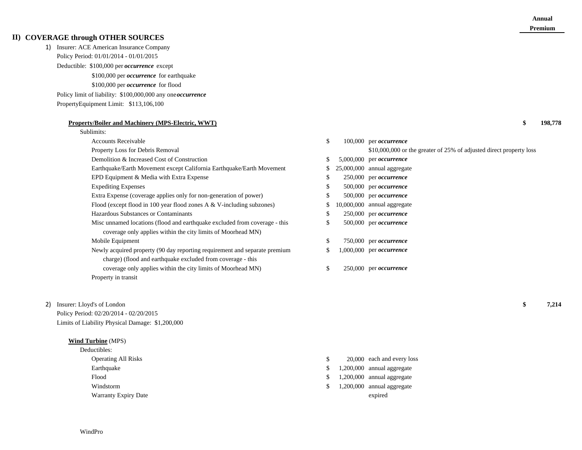## **II) COVERAGE through OTHER SOURCES**

### 1) Insurer: ACE American Insurance Company Policy Period: 01/01/2014 - 01/01/2015

Deductible: \$100,000 per *occurrence* excep<sup>t</sup>

\$100,000 per *occurrence* for earthquake

\$100,000 per *occurrence* for flood

Policy limit of liability: \$100,000,000 any one *occurrence*

PropertyEquipment Limit: \$113,106,100

#### **Property/Boiler and Machinery (MPS-Electric, WWT) \$ 198,778**

# Sublimits:

Accounts Receivable

Property in transit

2) Insurer: Lloyd's of London **\$ 7,214**

Policy Period: 02/20/2014 - 02/20/2015 Limits of Liability Physical Damage: \$1,200,000

#### **Wind Turbine** (MPS)

| Deductibles:               |                              |
|----------------------------|------------------------------|
| <b>Operating All Risks</b> | 20,000 each and every loss   |
| Earthquake                 | $1,200,000$ annual aggregate |
| Flood                      | $1,200,000$ annual aggregate |
| Windstorm                  | $1,200,000$ annual aggregate |
| Warranty Expiry Date       | expired                      |

| Accounts Receivable                                                                                                                        | S  | $100,000$ per <i>occurrence</i>                                     |
|--------------------------------------------------------------------------------------------------------------------------------------------|----|---------------------------------------------------------------------|
| Property Loss for Debris Removal                                                                                                           |    | \$10,000,000 or the greater of 25% of adjusted direct property loss |
| Demolition & Increased Cost of Construction                                                                                                |    | $5,000,000$ per <i>occurrence</i>                                   |
| Earthquake/Earth Movement except California Earthquake/Earth Movement                                                                      |    | 25,000,000 annual aggregate                                         |
| EPD Equipment & Media with Extra Expense                                                                                                   | J. | $250,000$ per <i>occurrence</i>                                     |
| <b>Expediting Expenses</b>                                                                                                                 | Ъ. | 500,000 per <i>occurrence</i>                                       |
| Extra Expense (coverage applies only for non-generation of power)                                                                          | J. | 500,000 per <i>occurrence</i>                                       |
| Flood (except flood in 100 year flood zones A & V-including subzones)                                                                      |    | 10,000,000 annual aggregate                                         |
| Hazardous Substances or Contaminants                                                                                                       | S. | 250,000 per <i>occurrence</i>                                       |
| Misc unnamed locations (flood and earthquake excluded from coverage - this<br>coverage only applies within the city limits of Moorhead MN) | S. | 500,000 per <i>occurrence</i>                                       |
| Mobile Equipment                                                                                                                           | \$ | 750,000 per <i>occurrence</i>                                       |
| Newly acquired property (90 day reporting requirement and separate premium<br>charge) (flood and earthquake excluded from coverage - this  |    | $1,000,000$ per <i>occurrence</i>                                   |
| coverage only applies within the city limits of Moorhead MN)                                                                               | S. | 250,000 per <i>occurrence</i>                                       |
|                                                                                                                                            |    |                                                                     |